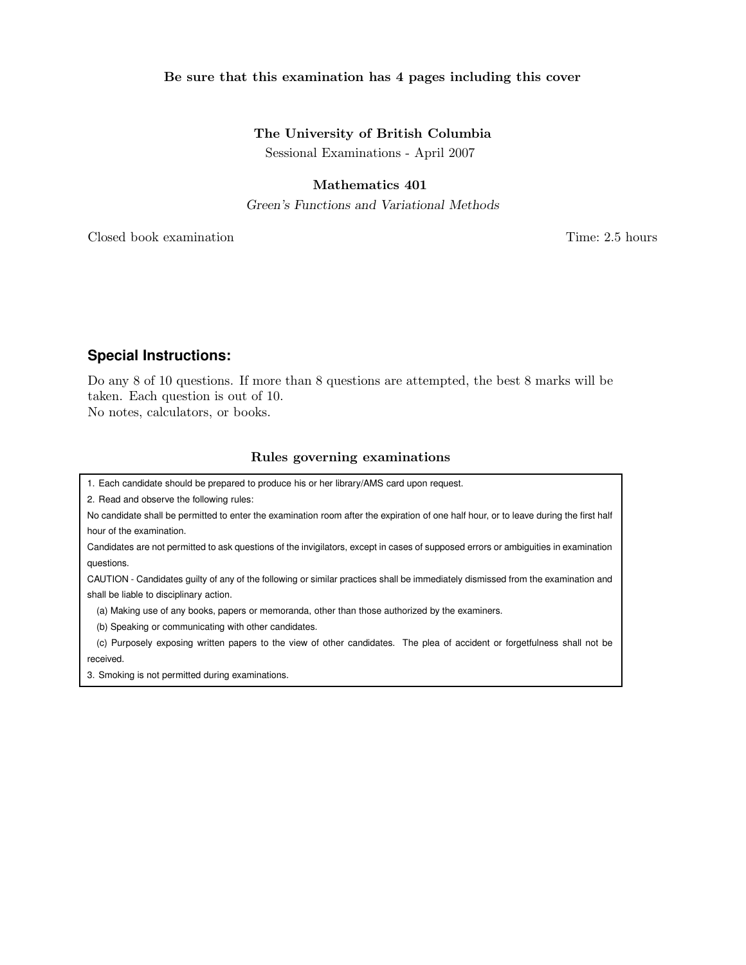### Be sure that this examination has 4 pages including this cover

## The University of British Columbia

Sessional Examinations - April 2007

# Mathematics 401

Green's Functions and Variational Methods

Closed book examination Time: 2.5 hours

# **Special Instructions:**

Do any 8 of 10 questions. If more than 8 questions are attempted, the best 8 marks will be taken. Each question is out of 10.

No notes, calculators, or books.

### Rules governing examinations

1. Each candidate should be prepared to produce his or her library/AMS card upon request.

2. Read and observe the following rules:

No candidate shall be permitted to enter the examination room after the expiration of one half hour, or to leave during the first half hour of the examination.

Candidates are not permitted to ask questions of the invigilators, except in cases of supposed errors or ambiguities in examination questions.

CAUTION - Candidates guilty of any of the following or similar practices shall be immediately dismissed from the examination and shall be liable to disciplinary action.

(a) Making use of any books, papers or memoranda, other than those authorized by the examiners.

(b) Speaking or communicating with other candidates.

(c) Purposely exposing written papers to the view of other candidates. The plea of accident or forgetfulness shall not be received.

3. Smoking is not permitted during examinations.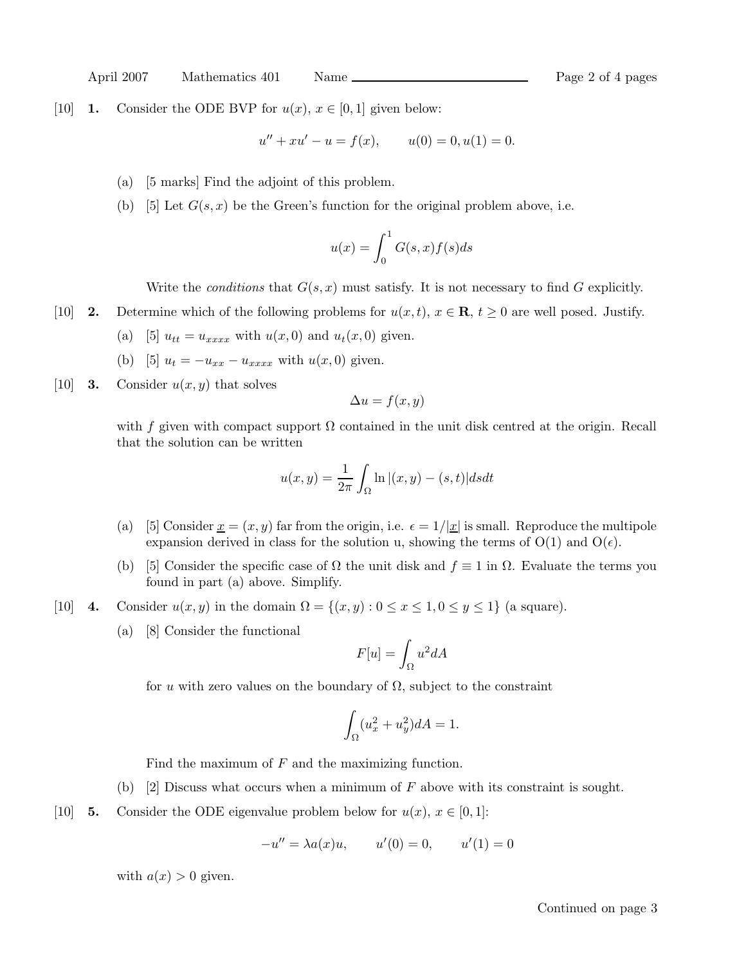April 2007 Mathematics 401 Name Page 2 of 4 pages

[10] **1.** Consider the ODE BVP for  $u(x)$ ,  $x \in [0,1]$  given below:

$$
u'' + xu' - u = f(x), \qquad u(0) = 0, u(1) = 0.
$$

- (a) [5 marks] Find the adjoint of this problem.
- (b) [5] Let  $G(s, x)$  be the Green's function for the original problem above, i.e.

$$
u(x) = \int_0^1 G(s, x) f(s) ds
$$

Write the *conditions* that  $G(s, x)$  must satisfy. It is not necessary to find G explicitly.

- [10] **2.** Determine which of the following problems for  $u(x,t)$ ,  $x \in \mathbf{R}$ ,  $t \geq 0$  are well posed. Justify.
	- (a) [5]  $u_{tt} = u_{xxxx}$  with  $u(x, 0)$  and  $u_t(x, 0)$  given.
	- (b) [5]  $u_t = -u_{xx} u_{xxxx}$  with  $u(x,0)$  given.
- [10] **3.** Consider  $u(x, y)$  that solves

$$
\Delta u = f(x, y)
$$

with f given with compact support  $\Omega$  contained in the unit disk centred at the origin. Recall that the solution can be written

$$
u(x,y) = \frac{1}{2\pi} \int_{\Omega} \ln |(x,y) - (s,t)| ds dt
$$

- (a) [5] Consider  $x = (x, y)$  far from the origin, i.e.  $\epsilon = 1/|x|$  is small. Reproduce the multipole expansion derived in class for the solution u, showing the terms of  $O(1)$  and  $O(\epsilon)$ .
- (b) [5] Consider the specific case of  $\Omega$  the unit disk and  $f \equiv 1$  in  $\Omega$ . Evaluate the terms you found in part (a) above. Simplify.
- [10] 4. Consider  $u(x, y)$  in the domain  $\Omega = \{(x, y) : 0 \le x \le 1, 0 \le y \le 1\}$  (a square).
	- (a) [8] Consider the functional

$$
F[u] = \int_{\Omega} u^2 dA
$$

for u with zero values on the boundary of  $\Omega$ , subject to the constraint

$$
\int_{\Omega} (u_x^2 + u_y^2) dA = 1.
$$

Find the maximum of  $F$  and the maximizing function.

(b) [2] Discuss what occurs when a minimum of  $F$  above with its constraint is sought.

[10] **5.** Consider the ODE eigenvalue problem below for  $u(x)$ ,  $x \in [0,1]$ :

$$
-u'' = \lambda a(x)u, \qquad u'(0) = 0, \qquad u'(1) = 0
$$

with  $a(x) > 0$  given.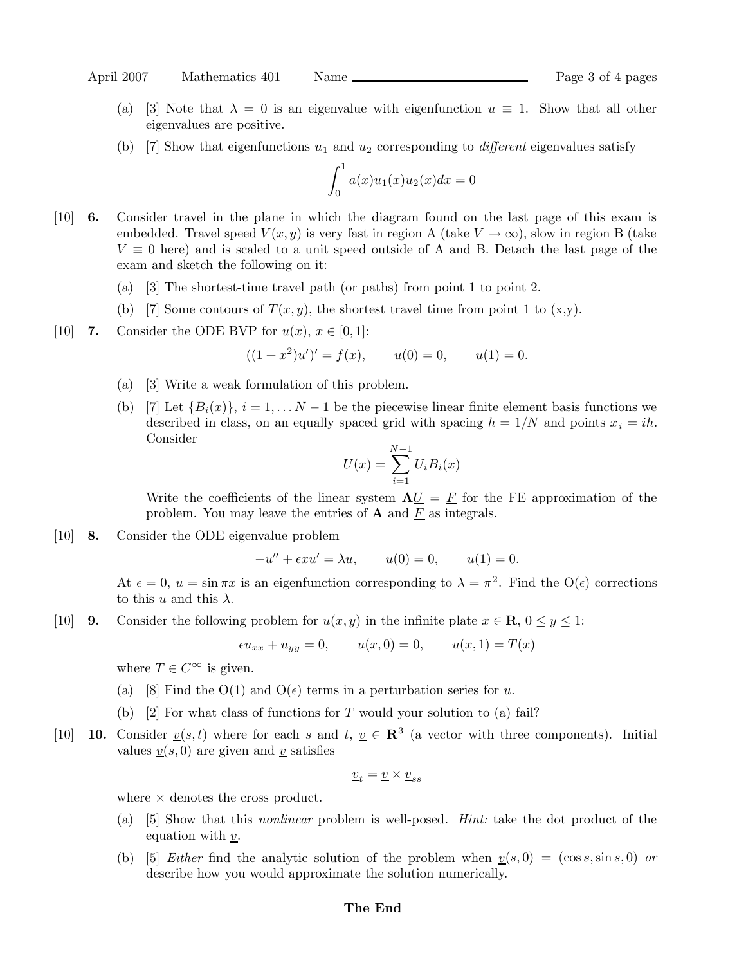- (a) [3] Note that  $\lambda = 0$  is an eigenvalue with eigenfunction  $u \equiv 1$ . Show that all other eigenvalues are positive.
- (b) [7] Show that eigenfunctions  $u_1$  and  $u_2$  corresponding to *different* eigenvalues satisfy

$$
\int_0^1 a(x)u_1(x)u_2(x)dx = 0
$$

- [10] 6. Consider travel in the plane in which the diagram found on the last page of this exam is embedded. Travel speed  $V(x, y)$  is very fast in region A (take  $V \to \infty$ ), slow in region B (take  $V \equiv 0$  here) and is scaled to a unit speed outside of A and B. Detach the last page of the exam and sketch the following on it:
	- (a) [3] The shortest-time travel path (or paths) from point 1 to point 2.
	- (b) [7] Some contours of  $T(x, y)$ , the shortest travel time from point 1 to  $(x, y)$ .
- [10] 7. Consider the ODE BVP for  $u(x)$ ,  $x \in [0,1]$ :

$$
((1+x^2)u')' = f(x),
$$
  $u(0) = 0,$   $u(1) = 0.$ 

- (a) [3] Write a weak formulation of this problem.
- (b) [7] Let  ${B_i(x)}$ ,  $i = 1, \ldots N-1$  be the piecewise linear finite element basis functions we described in class, on an equally spaced grid with spacing  $h = 1/N$  and points  $x_i = ih$ . Consider

$$
U(x) = \sum_{i=1}^{N-1} U_i B_i(x)
$$

Write the coefficients of the linear system  ${\bf A}U = E$  for the FE approximation of the problem. You may leave the entries of  $A$  and  $\underline{F}$  as integrals.

[10] 8. Consider the ODE eigenvalue problem

$$
-u'' + \epsilon x u' = \lambda u, \qquad u(0) = 0, \qquad u(1) = 0.
$$

At  $\epsilon = 0$ ,  $u = \sin \pi x$  is an eigenfunction corresponding to  $\lambda = \pi^2$ . Find the  $O(\epsilon)$  corrections to this u and this  $\lambda$ .

[10] **9.** Consider the following problem for  $u(x, y)$  in the infinite plate  $x \in \mathbb{R}$ ,  $0 \le y \le 1$ :

$$
\epsilon u_{xx} + u_{yy} = 0,
$$
  $u(x, 0) = 0,$   $u(x, 1) = T(x)$ 

where  $T \in C^{\infty}$  is given.

- (a) [8] Find the  $O(1)$  and  $O(\epsilon)$  terms in a perturbation series for u.
- (b)  $[2]$  For what class of functions for T would your solution to (a) fail?
- [10] **10.** Consider  $\underline{v}(s,t)$  where for each s and t,  $\underline{v} \in \mathbb{R}^3$  (a vector with three components). Initial values  $v(s, 0)$  are given and v satisfies

$$
\underline{v}_t = \underline{v} \times \underline{v}_{ss}
$$

where  $\times$  denotes the cross product.

- (a) [5] Show that this nonlinear problem is well-posed. Hint: take the dot product of the equation with  $v$ .
- (b) [5] *Either* find the analytic solution of the problem when  $v(s, 0) = (\cos s, \sin s, 0)$  or describe how you would approximate the solution numerically.

#### The End